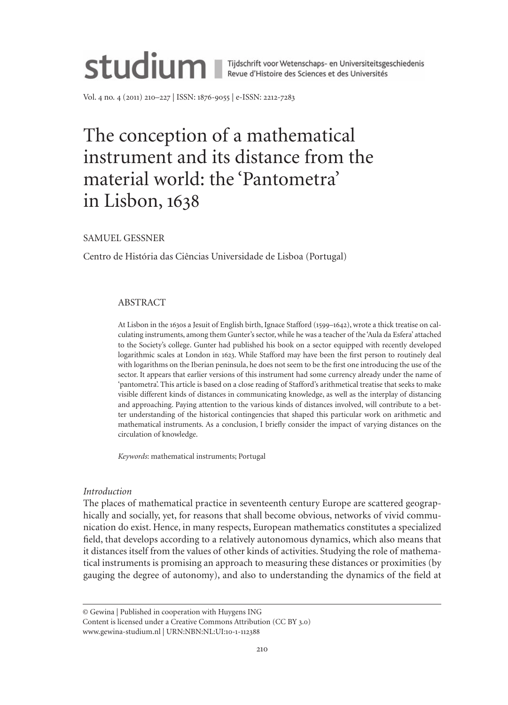

Vol. 4 no. 4 (2011) 210–227 | ISSN: 1876-9055 | e-ISSN: 2212-7283

# The conception of a mathematical instrument and its distance from the material world: the 'Pantometra' in Lisbon, 1638

SAmUeL GeSSNeR

Centro de História das Ciências Universidade de Lisboa (Portugal)

## ABSTRACT

At Lisbon in the 1630s a Jesuit of english birth, Ignace Stafford (1599–1642), wrote a thick treatise on calculating instruments, among them Gunter's sector, while he was a teacher of the 'Aula da Esfera' attached to the Society's college. Gunter had published his book on a sector equipped with recently developed logarithmic scales at London in 1623. While Stafford may have been the first person to routinely deal with logarithms on the Iberian peninsula, he does not seem to be the first one introducing the use of the sector. It appears that earlier versions of this instrument had some currency already under the name of 'pantometra'. This article is based on a close reading of Stafford's arithmetical treatise that seeks to make visible different kinds of distances in communicating knowledge, as well as the interplay of distancing and approaching. Paying attention to the various kinds of distances involved, will contribute to a better understanding of the historical contingencies that shaped this particular work on arithmetic and mathematical instruments. As a conclusion, I briefly consider the impact of varying distances on the circulation of knowledge.

*Keywords*: mathematical instruments; Portugal

## *Introduction*

The places of mathematical practice in seventeenth century Europe are scattered geographically and socially, yet, for reasons that shall become obvious, networks of vivid communication do exist. Hence, in many respects, european mathematics constitutes a specialized field, that develops according to a relatively autonomous dynamics, which also means that it distances itself from the values of other kinds of activities. Studying the role of mathematical instruments is promising an approach to measuring these distances or proximities (by gauging the degree of autonomy), and also to understanding the dynamics of the field at

www.gewina-studium.nl | URN:NBN:NL:UI:10-1-112388

<sup>©</sup> Gewina | Published in cooperation with Huygens ING

Content is licensed under a Creative Commons Attribution (CC BY 3.0)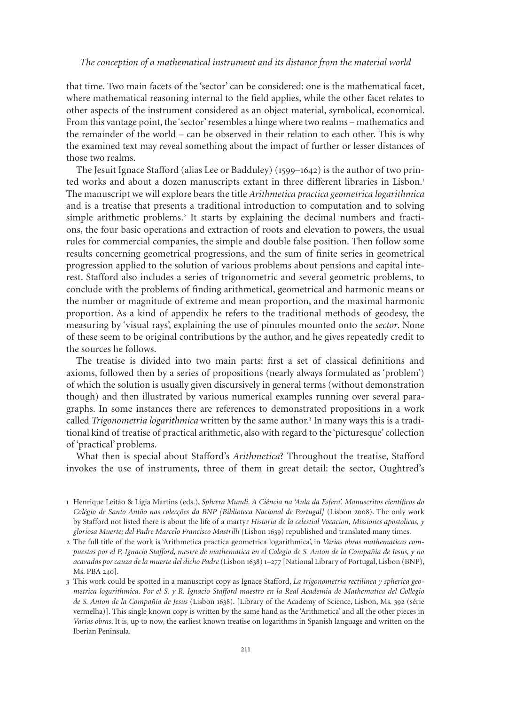that time. Two main facets of the 'sector' can be considered: one is the mathematical facet, where mathematical reasoning internal to the field applies, while the other facet relates to other aspects of the instrument considered as an object material, symbolical, economical. From this vantage point, the 'sector' resembles a hinge where two realms – mathematics and the remainder of the world – can be observed in their relation to each other. This is why the examined text may reveal something about the impact of further or lesser distances of those two realms.

The Jesuit Ignace Stafford (alias Lee or Badduley) (1599–1642) is the author of two printed works and about a dozen manuscripts extant in three different libraries in Lisbon.<sup>1</sup> The manuscript we will explore bears the title *Arithmetica practica geometrica logarithmica* and is a treatise that presents a traditional introduction to computation and to solving simple arithmetic problems.<sup>2</sup> It starts by explaining the decimal numbers and fractions, the four basic operations and extraction of roots and elevation to powers, the usual rules for commercial companies, the simple and double false position. Then follow some results concerning geometrical progressions, and the sum of finite series in geometrical progression applied to the solution of various problems about pensions and capital interest. Stafford also includes a series of trigonometric and several geometric problems, to conclude with the problems of finding arithmetical, geometrical and harmonic means or the number or magnitude of extreme and mean proportion, and the maximal harmonic proportion. As a kind of appendix he refers to the traditional methods of geodesy, the measuring by 'visual rays', explaining the use of pinnules mounted onto the *sector*. None of these seem to be original contributions by the author, and he gives repeatedly credit to the sources he follows.

The treatise is divided into two main parts: first a set of classical definitions and axioms, followed then by a series of propositions (nearly always formulated as 'problem') of which the solution is usually given discursively in general terms (without demonstration though) and then illustrated by various numerical examples running over several paragraphs. In some instances there are references to demonstrated propositions in a work called *Trigonometria logarithmica* written by the same author.<sup>3</sup> In many ways this is a traditional kind of treatise of practical arithmetic, also with regard to the 'picturesque' collection of 'practical' problems.

What then is special about Stafford's *Arithmetica*? Throughout the treatise, Stafford invokes the use of instruments, three of them in great detail: the sector, Oughtred's

<sup>1</sup> Henrique Leitão & Lígia martins (eds.), *Sphæra Mundi. A Ciência na 'Aula da Esfera'. Manuscritos científicos do Colégio de Santo Antão nas colecções da BNP [Biblioteca Nacional de Portugal]* (Lisbon 2008). The only work by Stafford not listed there is about the life of a martyr *Historia de la celestial Vocacion*, *Missiones apostolicas, y gloriosa Muerte; del Padre Marcelo Francisco Mastrilli* (Lisbon 1639) republished and translated many times.

<sup>2</sup> The full title of the work is 'Arithmetica practica geometrica logarithmica', in *Varias obras mathematicas compuestas por el P. Ignacio Stafford, mestre de mathematica en el Colegio de S. Anton de la Compañia de Iesus, y no acavadas por cauza de la muerte del dicho Padre* (Lisbon 1638) 1–277 [National Library of Portugal, Lisbon (BNP), ms. PBA 240].

<sup>3</sup> This work could be spotted in a manuscript copy as Ignace Stafford, *La trigonometria rectilinea y spherica geometrica logarithmica. Por el S. y R. Ignacio Stafford maestro en la Real Academia de Mathematica del Collegio de S. Anton de la Compañía de Jesus* (Lisbon 1638). [Library of the Academy of Science, Lisbon, ms. 392 (série vermelha)]. This single known copy is written by the same hand as the 'Arithmetica' and all the other pieces in *Varias obras*. It is, up to now, the earliest known treatise on logarithms in Spanish language and written on the Iberian Peninsula.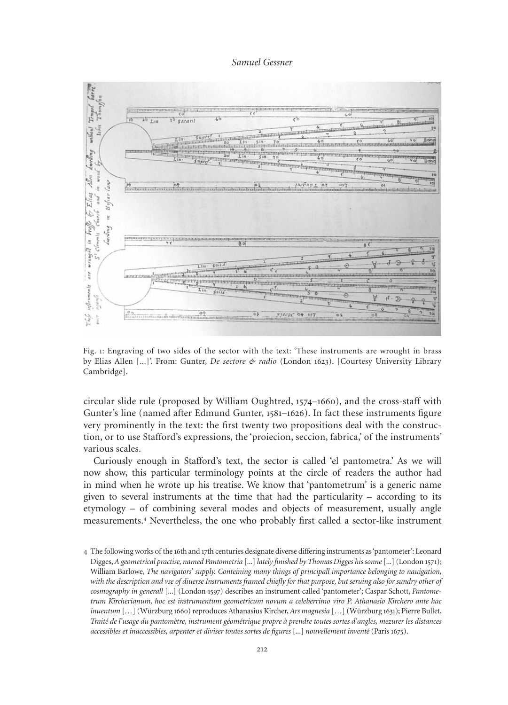

Fig. 1: Engraving of two sides of the sector with the text: 'These instruments are wrought in brass by elias Allen [...]'. From: Gunter, *De sectore & radio* (London 1623). [Courtesy University Library Cambridge].

circular slide rule (proposed by William Oughtred, 1574–1660), and the cross-staff with Gunter's line (named after Edmund Gunter, 1581–1626). In fact these instruments figure very prominently in the text: the first twenty two propositions deal with the construction, or to use Stafford's expressions, the 'proiecion, seccion, fabrica,' of the instruments' various scales.

Curiously enough in Stafford's text, the sector is called 'el pantometra.' As we will now show, this particular terminology points at the circle of readers the author had in mind when he wrote up his treatise. We know that 'pantometrum' is a generic name given to several instruments at the time that had the particularity – according to its etymology – of combining several modes and objects of measurement, usually angle measurements.<sup>4</sup> Nevertheless, the one who probably first called a sector-like instrument

<sup>4</sup> The following works of the 16th and 17th centuries designate diverse differing instruments as 'pantometer': Leonard Digges, *A geometrical practise, named Pantometria* [...] *lately finished by Thomas Digges his sonne* [...] (London 1571); William Barlowe, *The navigators' supply. Conteining many things of principall importance belonging to nauigation, with the description and vse of diuerse Instruments framed chiefly for that purpose, but seruing also for sundry other of cosmography in generall* [...] (London 1597) describes an instrument called 'pantometer'; Caspar Schott, *Pantometrum Kircherianum, hoc est instrumentum geometricum novum a celeberrimo viro P. Athanasio Kirchero ante hac inuentum* [*…*] (Würzburg 1660) reproduces Athanasius Kircher, *Ars magnesia* […] (Würzburg 1631); Pierre Bullet, *Traité de l'usage du pantomètre, instrument géométrique propre à prendre toutes sortes d'angles, mezurer les distances accessibles et inaccessibles, arpenter et diviser toutes sortes de figures* [...] *nouvellement inventé* (Paris 1675).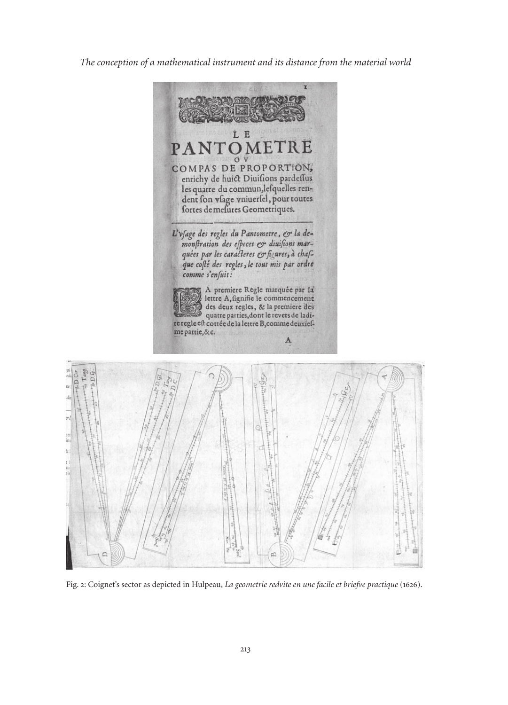

Fig. 2: Coignet's sector as depicted in Hulpeau, *La geometrie redvite en une facile et briefve practique* (1626).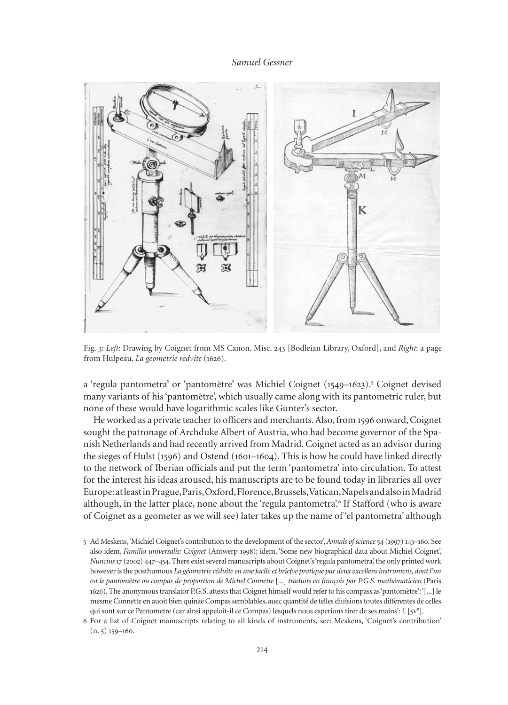

Fig. 3: *Left*: Drawing by Coignet from mS Canon. misc. 243 [Bodleian Library, Oxford], and *Right*: a page from Hulpeau, *La geometrie redvite* (1626).

a 'regula pantometra' or 'pantomètre' was Michiel Coignet (1549–1623).<sup>5</sup> Coignet devised many variants of his 'pantomètre', which usually came along with its pantometric ruler, but none of these would have logarithmic scales like Gunter's sector.

He worked as a private teacher to officers and merchants. Also, from 1596 onward, Coignet sought the patronage of Archduke Albert of Austria, who had become governor of the Spanish Netherlands and had recently arrived from madrid. Coignet acted as an advisor during the sieges of Hulst (1596) and Ostend (1601–1604). This is how he could have linked directly to the network of Iberian officials and put the term 'pantometra' into circulation. To attest for the interest his ideas aroused, his manuscripts are to be found today in libraries all over europe: at least in Prague, Paris, Oxford, Florence, Brussels, Vatican, Napels and also in madrid although, in the latter place, none about the 'regula pantometra'.<sup>6</sup> If Stafford (who is aware of Coignet as a geometer as we will see) later takes up the name of 'el pantometra' although

- 5 Ad meskens, 'michiel Coignet's contribution to the development of the sector', *Annals of science*54 (1997) 143–160. See also idem, *Familia universalis: Coignet* (Antwerp 1998); idem, 'Some new biographical data about michiel Coignet', *Nuncius*17 (2002) 447–454. There exist several manuscripts about Coignet's 'regula pantometra', the only printed work however is the posthumous *La géometrie réduite en une facile et briefve pratique par deux excellens instrumens, dont l'un est le pantomètre ou compas de proportion de Michel Connette* [...] *traduits en françois par P.G.S. mathématicien* (Paris 1626). The anonymous translator P.G.S. attests that Coignet himself would refer to his compass as 'pantomètre': '[...] le mesme Connette en auoit bien quinze Compas semblables, auec quantité de telles diuisions toutes differentes de celles qui sont sur ce Pantometre (car ainsi appeloit-il ce Compas) lesquels nous esperions tirer de ses mains': f. [5v°].
- 6 For a list of Coignet manuscripts relating to all kinds of instruments, see: meskens, 'Coignet's contribution' (n. 5) 159–160.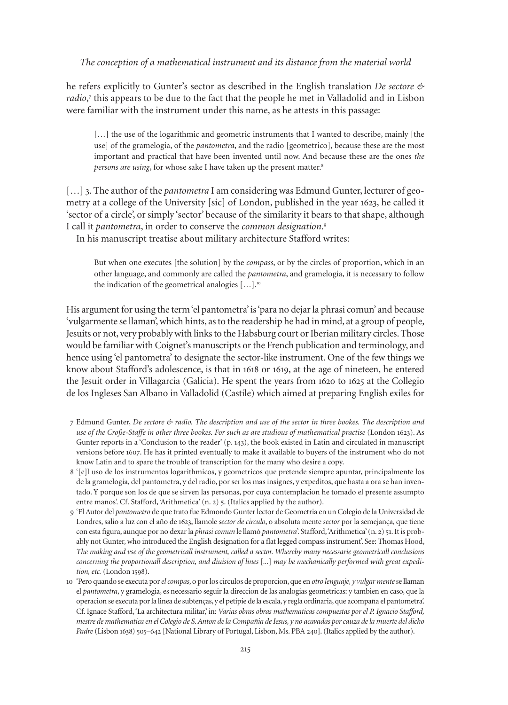he refers explicitly to Gunter's sector as described in the english translation *De sectore &*  radio,<sup>7</sup> this appears to be due to the fact that the people he met in Valladolid and in Lisbon were familiar with the instrument under this name, as he attests in this passage:

[...] the use of the logarithmic and geometric instruments that I wanted to describe, mainly [the use] of the gramelogia, of the *pantometra*, and the radio [geometrico], because these are the most important and practical that have been invented until now. And because these are the ones *the persons are using*, for whose sake I have taken up the present matter.<sup>8</sup>

[...] 3. The author of the *pantometra* I am considering was Edmund Gunter, lecturer of geometry at a college of the University [sic] of London, published in the year 1623, he called it 'sector of a circle', or simply 'sector' because of the similarity it bears to that shape, although I call it *pantometra*, in order to conserve the *common designation*. 9

In his manuscript treatise about military architecture Stafford writes:

But when one executes [the solution] by the *compass*, or by the circles of proportion, which in an other language, and commonly are called the *pantometra*, and gramelogia, it is necessary to follow the indication of the geometrical analogies  $[\dots]$ .<sup>10</sup>

His argument for using the term 'el pantometra' is 'para no dejar la phrasi comun' and because 'vulgarmente se llaman', which hints, as to the readership he had in mind, at a group of people, Jesuits or not, very probably with links to the Habsburg court or Iberian military circles. Those would be familiar with Coignet's manuscripts or the French publication and terminology, and hence using 'el pantometra' to designate the sector-like instrument. One of the few things we know about Stafford's adolescence, is that in 1618 or 1619, at the age of nineteen, he entered the Jesuit order in Villagarcia (Galicia). He spent the years from 1620 to 1625 at the Collegio de los Ingleses San Albano in Valladolid (Castile) which aimed at preparing English exiles for

- 7 edmund Gunter, *De sectore & radio. The description and use of the sector in three bookes. The description and use of the Croße-Staffe in other three bookes. For such as are studious of mathematical practise* (London 1623). As Gunter reports in a 'Conclusion to the reader' (p. 143), the book existed in Latin and circulated in manuscript versions before 1607. He has it printed eventually to make it available to buyers of the instrument who do not know Latin and to spare the trouble of transcription for the many who desire a copy.
- 8 '[e]l uso de los instrumentos logarithmicos, y geometricos que pretende siempre apuntar, principalmente los de la gramelogia, del pantometra, y del radio, por ser los mas insignes, y expeditos, que hasta a ora se han inventado. Y porque son los de que se sirven las personas, por cuya contemplacion he tomado el presente assumpto entre manos'. Cf. Stafford, 'Arithmetica' (n. 2) 5. (Italics applied by the author).
- 9 'el Autor del *pantometro* de que trato fue edmondo Gunter lector de Geometria en un Colegio de la Universidad de Londres, salio a luz con el año de 1623, llamole *sector de circulo*, o absoluta mente *sector* por la semejança, que tiene con esta figura, aunque por no dexar la *phrasi comun* le llamò *pantometra*'. Stafford, 'Arithmetica' (n. 2) 51. It is probably not Gunter, who introduced the english designation for a flat legged compass instrument'. See: Thomas Hood, *The making and vse of the geometricall instrument, called a sector. Whereby many necessarie geometricall conclusions concerning the proportionall description, and diuision of lines* [*...*] *may be mechanically performed with great expedition, etc.* (London 1598).
- 10 'Pero quando se executa por *el compas*, o por los circulos de proporcion, que en *otro lenguaje, y vulgar mente* se llaman el *pantometra*, y gramelogia, es necessario seguir la direccion de las analogias geometricas: y tambien en caso, que la operacion se executa por la linea de subtenças, y el petipie de la escala, y regla ordinaria, que acompaña el pantometra'. Cf. Ignace Stafford, 'La architectura militar,' in: *Varias obras obras mathematicas compuestas por el P. Ignacio Stafford, mestre de mathematica en el Colegio de S. Anton de la Compañia de Iesus, y no acavadas por cauza de la muerte del dicho Padre* (Lisbon 1638) 505–642 [National Library of Portugal, Lisbon, ms. PBA 240]. (Italics applied by the author).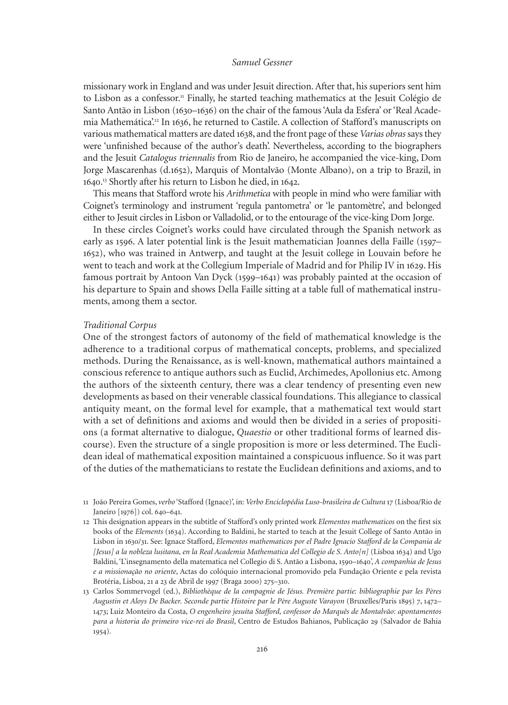missionary work in England and was under Jesuit direction. After that, his superiors sent him to Lisbon as a confessor.<sup>11</sup> Finally, he started teaching mathematics at the Jesuit Colégio de Santo Antão in Lisbon (1630–1636) on the chair of the famous 'Aula da Esfera' or 'Real Academia Mathemática'.<sup>12</sup> In 1636, he returned to Castile. A collection of Stafford's manuscripts on various mathematical matters are dated 1638, and the front page of these *Varias obras* says they were 'unfinished because of the author's death'. Nevertheless, according to the biographers and the Jesuit *Catalogus triennalis* from Rio de Janeiro, he accompanied the vice-king, Dom Jorge mascarenhas (d.1652), marquis of montalvão (monte Albano), on a trip to Brazil, in 1640. <sup>13</sup> Shortly after his return to Lisbon he died, in 1642.

This means that Stafford wrote his *Arithmetica* with people in mind who were familiar with Coignet's terminology and instrument 'regula pantometra' or 'le pantomètre', and belonged either to Jesuit circles in Lisbon or Valladolid, or to the entourage of the vice-king Dom Jorge.

In these circles Coignet's works could have circulated through the Spanish network as early as 1596. A later potential link is the Jesuit mathematician Joannes della Faille (1597– 1652), who was trained in Antwerp, and taught at the Jesuit college in Louvain before he went to teach and work at the Collegium Imperiale of madrid and for Philip IV in 1629. His famous portrait by Antoon Van Dyck (1599–1641) was probably painted at the occasion of his departure to Spain and shows Della Faille sitting at a table full of mathematical instruments, among them a sector.

#### *Traditional Corpus*

One of the strongest factors of autonomy of the field of mathematical knowledge is the adherence to a traditional corpus of mathematical concepts, problems, and specialized methods. During the Renaissance, as is well-known, mathematical authors maintained a conscious reference to antique authors such as euclid, Archimedes, Apollonius etc. Among the authors of the sixteenth century, there was a clear tendency of presenting even new developments as based on their venerable classical foundations. This allegiance to classical antiquity meant, on the formal level for example, that a mathematical text would start with a set of definitions and axioms and would then be divided in a series of propositions (a format alternative to dialogue, *Quaestio* or other traditional forms of learned discourse). Even the structure of a single proposition is more or less determined. The Euclidean ideal of mathematical exposition maintained a conspicuous influence. So it was part of the duties of the mathematicians to restate the euclidean definitions and axioms, and to

<sup>11</sup> João Pereira Gomes, *verbo* 'Stafford (Ignace)', in: *Verbo Enciclopédia Luso-brasileira de Cultura* 17 (Lisboa/Rio de Janeiro [1976]) col. 640–641.

<sup>12</sup> This designation appears in the subtitle of Stafford's only printed work *Elementos mathematicos* on the first six books of the *Elements* (1634). According to Baldini, he started to teach at the Jesuit College of Santo Antão in Lisbon in 1630/31. See: Ignace Stafford, *Elementos mathematicos por el Padre Ignacio Stafford de la Compania de [Jesus] a la nobleza lusitana, en la Real Academia Mathematica del Collegio de S. Anto[n]* (Lisboa 1634) and Ugo Baldini, 'L'insegnamento della matematica nel Collegio di S. Antão a Lisbona, 1590–1640', *A companhia de Jesus e a missionação no oriente*, Actas do colóquio internacional promovido pela Fundação Oriente e pela revista Brotéria, Lisboa, 21 a 23 de Abril de 1997 (Braga 2000) 275–310.

<sup>13</sup> Carlos Sommervogel (ed.), *Bibliothèque de la compagnie de Jésus. Première partie: bibliographie par les Pères Augustin et Aloys De Backer. Seconde partie Histoire par le Père Auguste Varayon* (Bruxelles/Paris 1895) 7, 1472– 1473; Luiz monteiro da Costa, *O engenheiro jesuíta Stafford, confessor do Marquês de Montalvão: apontamentos para a historia do primeiro vice-rei do Brasil*, Centro de estudos Bahianos, Publicação 29 (Salvador de Bahia 1954).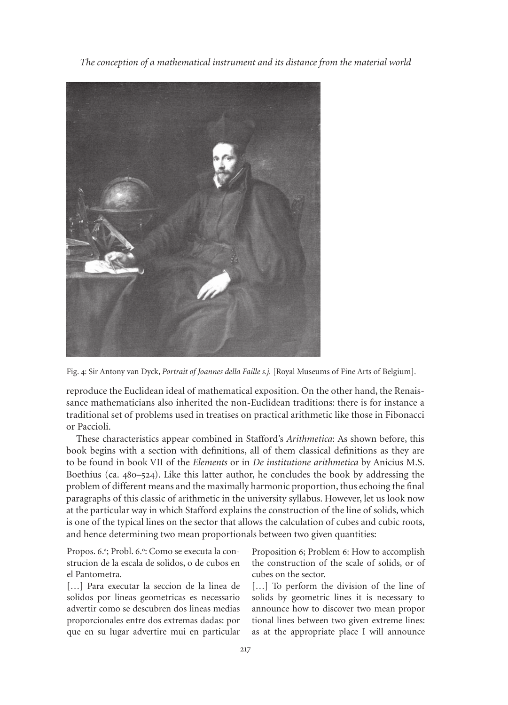

Fig. 4: Sir Antony van Dyck, *Portrait of Joannes della Faille s.j.* [Royal Museums of Fine Arts of Belgium].

reproduce the Euclidean ideal of mathematical exposition. On the other hand, the Renaissance mathematicians also inherited the non-Euclidean traditions: there is for instance a traditional set of problems used in treatises on practical arithmetic like those in Fibonacci or Paccioli.

These characteristics appear combined in Stafford's *Arithmetica*: As shown before, this book begins with a section with definitions, all of them classical definitions as they are to be found in book VII of the *Elements* or in *De institutione arithmetica* by Anicius m.S. Boethius (ca. 480–524). Like this latter author, he concludes the book by addressing the problem of different means and the maximally harmonic proportion, thus echoing the final paragraphs of this classic of arithmetic in the university syllabus. However, let us look now at the particular way in which Stafford explains the construction of the line of solids, which is one of the typical lines on the sector that allows the calculation of cubes and cubic roots, and hence determining two mean proportionals between two given quantities:

Propos. 6.ª; Probl. 6.º: Como se executa la construcion de la escala de solidos, o de cubos en el Pantometra.

[...] Para executar la seccion de la linea de solidos por lineas geometricas es necessario advertir como se descubren dos lineas medias proporcionales entre dos extremas dadas: por que en su lugar advertire mui en particular

Proposition 6; Problem 6: How to accomplish the construction of the scale of solids, or of cubes on the sector.

[...] To perform the division of the line of solids by geometric lines it is necessary to announce how to discover two mean propor tional lines between two given extreme lines: as at the appropriate place I will announce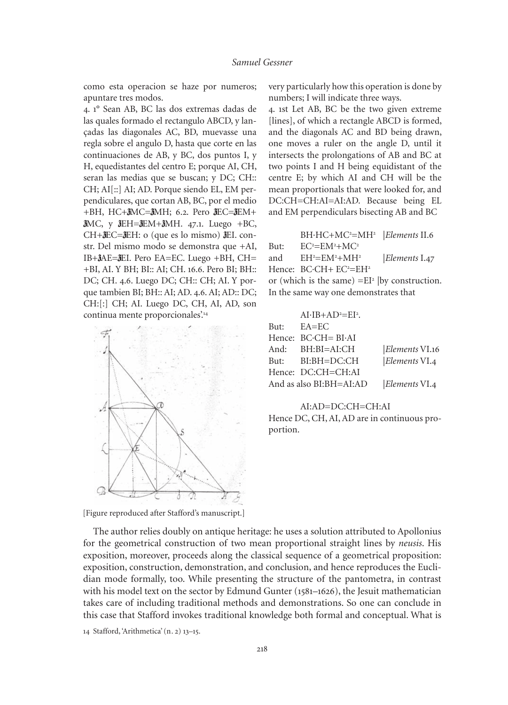como esta operacion se haze por numeros; apuntare tres modos.

4. 1° Sean AB, BC las dos extremas dadas de las quales formado el rectangulo ABCD, y lançadas las diagonales AC, BD, muevasse una regla sobre el angulo D, hasta que corte en las continuaciones de AB, y BC, dos puntos I, y H, equedistantes del centro E; porque AI, CH, seran las medias que se buscan; y DC; CH:: CH; AI[::] AI; AD. Porque siendo EL, EM perpendiculares, que cortan AB, BC, por el medio +BH, HC+ $\bar{a}$ MC= $\bar{a}$ MH; 6.2. Pero  $\bar{a}$ EC= $\bar{a}$ EM+  $\text{JMC}$ , y  $\text{JEH}$  =  $\text{JEM}$  +  $\text{JMH}$ . 47.1. Luego + BC,  $CH+3EC=3EH$ : o (que es lo mismo)  $3EI$ . constr. Del mismo modo se demonstra que +AI, IB+ $\delta$ AE= $\delta$ EI. Pero EA=EC. Luego +BH, CH= +BI, AI. Y BH; BI:: AI; CH. 16.6. Pero BI; BH:: DC; CH. 4.6. Luego DC; CH:: CH; AI. Y porque tambien BI; BH:: AI; AD. 4.6. AI; AD:: DC; CH:[:] CH; AI. Luego DC, CH, AI, AD, son continua mente proporcionales'.<sup>14</sup>



very particularly how this operation is done by numbers; I will indicate three ways.

4. 1st Let AB, BC be the two given extreme [lines], of which a rectangle ABCD is formed, and the diagonals AC and BD being drawn, one moves a ruler on the angle D, until it intersects the prolongations of AB and BC at two points I and H being equidistant of the centre E; by which AI and CH will be the mean proportionals that were looked for, and DC:CH=CH:AI=AI:AD. Because being EL and EM perpendiculars bisecting AB and BC

|                                                   | BH·HC+MC <sup>2</sup> =MH <sup>2</sup>   Elements II.6 |               |  |  |
|---------------------------------------------------|--------------------------------------------------------|---------------|--|--|
| But:                                              | $EC^2=EM^2+MC^2$                                       |               |  |  |
| and                                               | $EH^2=EM^2+MH^2$                                       | Elements I.47 |  |  |
|                                                   | Hence: $BC\text{-}CH+EC^2=EH^2$                        |               |  |  |
| or (which is the same) = $EI^2$  by construction. |                                                        |               |  |  |
| In the same way one demonstrates that             |                                                        |               |  |  |
|                                                   |                                                        |               |  |  |

|                         | $AI·IB+AD²=EI²$ .                  |                       |
|-------------------------|------------------------------------|-----------------------|
|                         | $But: EA = EC$                     |                       |
|                         | Hence: $BC \cdot CH = BI \cdot AI$ |                       |
|                         | And: $BH:BI=AI:CH$                 | <i>Elements</i> VI.16 |
|                         | But: BI:BH=DC:CH                   | $ Elements$ VI.4      |
|                         | Hence: DC:CH=CH:AI                 |                       |
| And as also BI:BH=AI:AD |                                    | Elements VI.4         |
|                         |                                    |                       |

#### AI:AD=DC:CH=CH:AI

Hence DC, CH, AI, AD are in continuous proportion.

[Figure reproduced after Stafford's manuscript.]

The author relies doubly on antique heritage: he uses a solution attributed to Apollonius for the geometrical construction of two mean proportional straight lines by *neusis*. His exposition, moreover, proceeds along the classical sequence of a geometrical proposition: exposition, construction, demonstration, and conclusion, and hence reproduces the Euclidian mode formally, too. While presenting the structure of the pantometra, in contrast with his model text on the sector by Edmund Gunter (1581–1626), the Jesuit mathematician takes care of including traditional methods and demonstrations. So one can conclude in this case that Stafford invokes traditional knowledge both formal and conceptual. What is

14 Stafford, 'Arithmetica' (n. 2) 13–15.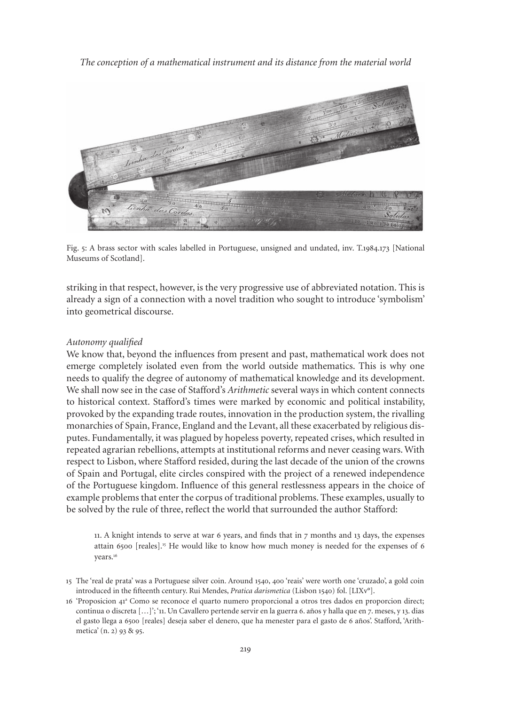

Fig. 5: A brass sector with scales labelled in Portuguese, unsigned and undated, inv. T.1984.173 [National Museums of Scotland].

striking in that respect, however, is the very progressive use of abbreviated notation. This is already a sign of a connection with a novel tradition who sought to introduce 'symbolism' into geometrical discourse.

#### *Autonomy qualified*

We know that, beyond the influences from present and past, mathematical work does not emerge completely isolated even from the world outside mathematics. This is why one needs to qualify the degree of autonomy of mathematical knowledge and its development. We shall now see in the case of Stafford's *Arithmetic* several ways in which content connects to historical context. Stafford's times were marked by economic and political instability, provoked by the expanding trade routes, innovation in the production system, the rivalling monarchies of Spain, France, england and the Levant, all these exacerbated by religious disputes. Fundamentally, it was plagued by hopeless poverty, repeated crises, which resulted in repeated agrarian rebellions, attempts at institutional reforms and never ceasing wars. With respect to Lisbon, where Stafford resided, during the last decade of the union of the crowns of Spain and Portugal, elite circles conspired with the project of a renewed independence of the Portuguese kingdom. Influence of this general restlessness appears in the choice of example problems that enter the corpus of traditional problems. These examples, usually to be solved by the rule of three, reflect the world that surrounded the author Stafford:

11. A knight intends to serve at war 6 years, and finds that in 7 months and 13 days, the expenses attain 6500 [reales].<sup>15</sup> He would like to know how much money is needed for the expenses of 6 years.<sup>16</sup>

- 15 The 'real de prata' was a Portuguese silver coin. Around 1540, 400 'reais' were worth one 'cruzado', a gold coin introduced in the fifteenth century. Rui mendes, *Pratica darismetica* (Lisbon 1540) fol. [LIXv°].
- 16 'Proposicion 41<sup>a</sup> Como se reconoce el quarto numero proporcional a otros tres dados en proporcion direct; continua o discreta […]'; '11. Un Cavallero pertende servir en la guerra 6. años y halla que en 7. meses, y 13. dias el gasto llega a 6500 [reales] deseja saber el denero, que ha menester para el gasto de 6 años'. Stafford, 'Arithmetica' (n. 2) 93 & 95.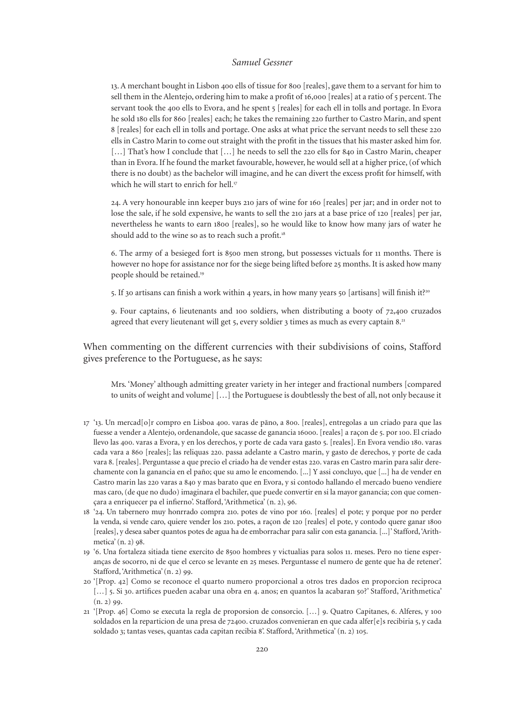13. A merchant bought in Lisbon 400 ells of tissue for 800 [reales], gave them to a servant for him to sell them in the Alentejo, ordering him to make a profit of 16,000 [reales] at a ratio of 5 percent. The servant took the 400 ells to Evora, and he spent 5 [reales] for each ell in tolls and portage. In Evora he sold 180 ells for 860 [reales] each; he takes the remaining 220 further to Castro marin, and spent 8 [reales] for each ell in tolls and portage. One asks at what price the servant needs to sell these 220 ells in Castro marin to come out straight with the profit in the tissues that his master asked him for. [...] That's how I conclude that  $[\dots]$  he needs to sell the 220 ells for 840 in Castro Marin, cheaper than in evora. If he found the market favourable, however, he would sell at a higher price, (of which there is no doubt) as the bachelor will imagine, and he can divert the excess profit for himself, with which he will start to enrich for hell.<sup>17</sup>

24. A very honourable inn keeper buys 210 jars of wine for 160 [reales] per jar; and in order not to lose the sale, if he sold expensive, he wants to sell the 210 jars at a base price of 120 [reales] per jar, nevertheless he wants to earn 1800 [reales], so he would like to know how many jars of water he should add to the wine so as to reach such a profit.<sup>18</sup>

6. The army of a besieged fort is 8500 men strong, but possesses victuals for 11 months. There is however no hope for assistance nor for the siege being lifted before 25 months. It is asked how many people should be retained.<sup>19</sup>

5. If 30 artisans can finish a work within 4 years, in how many years 50 [artisans] will finish it?<sup>20</sup>

9. Four captains, 6 lieutenants and 100 soldiers, when distributing a booty of 72,400 cruzados agreed that every lieutenant will get 5, every soldier 3 times as much as every captain 8.<sup>21</sup>

When commenting on the different currencies with their subdivisions of coins, Stafford gives preference to the Portuguese, as he says:

mrs. 'money' although admitting greater variety in her integer and fractional numbers [compared to units of weight and volume] […] the Portuguese is doubtlessly the best of all, not only because it

- 17 '13. Un mercad[o]r compro en Lisboa 400. varas de pãno, a 800. [reales], entregolas a un criado para que las fuesse a vender a Alentejo, ordenandole, que sacasse de ganancia 16000. [reales] a raçon de 5. por 100. El criado llevo las 400. varas a Evora, y en los derechos, y porte de cada vara gasto 5. [reales]. En Evora vendio 180. varas cada vara a 860 [reales]; las reliquas 220. passa adelante a Castro marin, y gasto de derechos, y porte de cada vara 8. [reales]. Perguntasse a que precio el criado ha de vender estas 220. varas en Castro marin para salir derechamente con la ganancia en el paño; que su amo le encomendo. [...] Y assi concluyo, que [...] ha de vender en Castro marin las 220 varas a 840 y mas barato que en Evora, y si contodo hallando el mercado bueno vendiere mas caro, (de que no dudo) imaginara el bachiler, que puede convertir en si la mayor ganancia; con que començara a enriquecer pa el infierno'. Stafford, 'Arithmetica' (n. 2), 96.
- 18 '24. Un tabernero muy honrrado compra 210. potes de vino por 160. [reales] el pote; y porque por no perder la venda, si vende caro, quiere vender los 210. potes, a raçon de 120 [reales] el pote, y contodo quere ganar 1800 [reales], y desea saber quantos potes de agua ha de emborrachar para salir con esta ganancia. [...]' Stafford, 'Arithmetica' (n. 2) 98.
- 19 '6. Una fortaleza sitiada tiene exercito de 8500 hombres y victualias para solos 11. meses. Pero no tiene esperanças de socorro, ni de que el cerco se levante en 25 meses. Perguntasse el numero de gente que ha de retener'. Stafford, 'Arithmetica' (n. 2) 99.
- 20 '[Prop. 42] Como se reconoce el quarto numero proporcional a otros tres dados en proporcion reciproca [...] 5. Si 30. artifices pueden acabar una obra en 4. anos; en quantos la acabaran 50?' Stafford, 'Arithmetica'  $(n. 2)$  99.
- 21 '[Prop. 46] Como se executa la regla de proporsion de consorcio. […] 9. Quatro Capitanes, 6. Alferes, y 100 soldados en la reparticion de una presa de 72400. cruzados convenieran en que cada alfer[e]s recibiria 5, y cada soldado 3; tantas veses, quantas cada capitan recibia 8'. Stafford, 'Arithmetica' (n. 2) 105.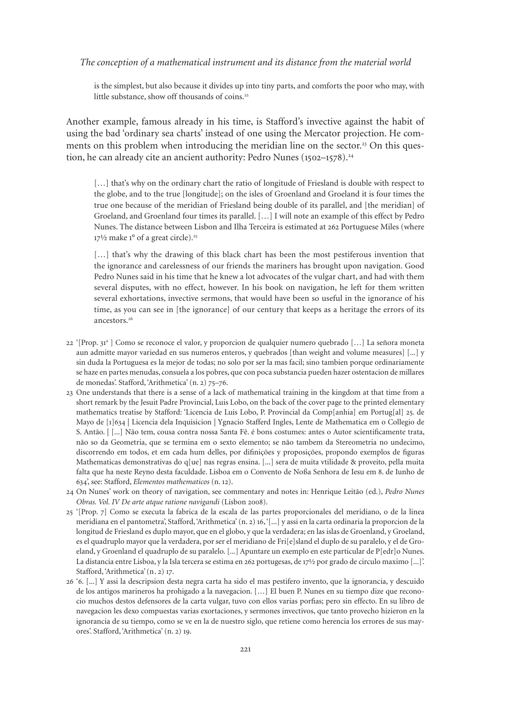is the simplest, but also because it divides up into tiny parts, and comforts the poor who may, with little substance, show off thousands of coins.<sup>22</sup>

Another example, famous already in his time, is Stafford's invective against the habit of using the bad 'ordinary sea charts' instead of one using the mercator projection. He comments on this problem when introducing the meridian line on the sector.<sup>23</sup> On this question, he can already cite an ancient authority: Pedro Nunes (1502–1578).<sup>24</sup>

[...] that's why on the ordinary chart the ratio of longitude of Friesland is double with respect to the globe, and to the true [longitude]; on the isles of Groenland and Groeland it is four times the true one because of the meridian of Friesland being double of its parallel, and [the meridian] of Groeland, and Groenland four times its parallel. […] I will note an example of this effect by Pedro Nunes. The distance between Lisbon and Ilha Terceira is estimated at 262 Portuguese miles (where  $17\frac{1}{2}$  make 1° of a great circle).<sup>25</sup>

[...] that's why the drawing of this black chart has been the most pestiferous invention that the ignorance and carelessness of our friends the mariners has brought upon navigation. Good Pedro Nunes said in his time that he knew a lot advocates of the vulgar chart, and had with them several disputes, with no effect, however. In his book on navigation, he left for them written several exhortations, invective sermons, that would have been so useful in the ignorance of his time, as you can see in [the ignorance] of our century that keeps as a heritage the errors of its ancestors.26

- 22 '[Prop. 31<sup>a</sup> ] Como se reconoce el valor, y proporcion de qualquier numero quebrado [...] La señora moneta aun admitte mayor variedad en sus numeros enteros, y quebrados [than weight and volume measures] [...] y sin duda la Portuguesa es la mejor de todas; no solo por ser la mas facil; sino tambien porque ordinariamente se haze en partes menudas, consuela a los pobres, que con poca substancia pueden hazer ostentacion de millares de monedas'. Stafford, 'Arithmetica' (n. 2) 75–76.
- 23 One understands that there is a sense of a lack of mathematical training in the kingdom at that time from a short remark by the Jesuit Padre Provincial, Luis Lobo, on the back of the cover page to the printed elementary mathematics treatise by Stafford: 'Licencia de Luis Lobo, P. Provincial da Comp[anhia] em Portug[al] 25. de Mayo de [1]634 | Licencia dela Inquisicion | Ygnacio Stafferd Ingles, Lente de Mathematica em o Collegio de S. Antão. | [...] Não tem, cousa contra nossa Santa Fê. é bons costumes: antes o Autor scientificamente trata, não so da Geometria, que se termina em o sexto elemento; se não tambem da Stereometria no undecimo, discorrendo em todos, et em cada hum delles, por difinições y proposições, propondo exemplos de figuras mathematicas demonstrativas do q[ue] nas regras ensina. [...] sera de muita vtilidade & proveito, pella muita falta que ha neste Reyno desta faculdade. Lisboa em o Convento de Noßa Senhora de Iesu em 8. de Iunho de 634', see: Stafford, *Elementos mathematicos* (n. 12).
- 24 On Nunes' work on theory of navigation, see commentary and notes in: Henrique Leitão (ed.), *Pedro Nunes Obras. Vol. IV De arte atque ratione navigandi* (Lisbon 2008).
- 25 '[Prop. 7] Como se executa la fabrica de la escala de las partes proporcionales del meridiano, o de la linea meridiana en el pantometra', Stafford, 'Arithmetica' (n. 2) 16, '[...] y assi en la carta ordinaria la proporcion de la longitud de Friesland es duplo mayor, que en el globo, y que la verdadera; en las islas de Groenland, y Groeland, es el quadruplo mayor que la verdadera, por ser el meridiano de Fri[e]sland el duplo de su paralelo, y el de Groeland, y Groenland el quadruplo de su paralelo. [...] Apuntare un exemplo en este particular de P[edr]o Nunes. La distancia entre Lisboa, y la Isla tercera se estima en 262 portugesas, de 17½ por grado de circulo maximo [...]'. Stafford, 'Arithmetica' (n. 2) 17.
- 26 '6. [...] Y assi la descripsion desta negra carta ha sido el mas pestifero invento, que la ignorancia, y descuido de los antigos marineros ha prohigado a la navegacion. […] el buen P. Nunes en su tiempo dize que reconocio muchos destos defensores de la carta vulgar, tuvo con ellos varias porfias; pero sin effecto. En su libro de navegacion les dexo compuestas varias exortaciones, y sermones invectivos, que tanto provecho hizieron en la ignorancia de su tiempo, como se ve en la de nuestro siglo, que retiene como herencia los errores de sus mayores'. Stafford, 'Arithmetica' (n. 2) 19.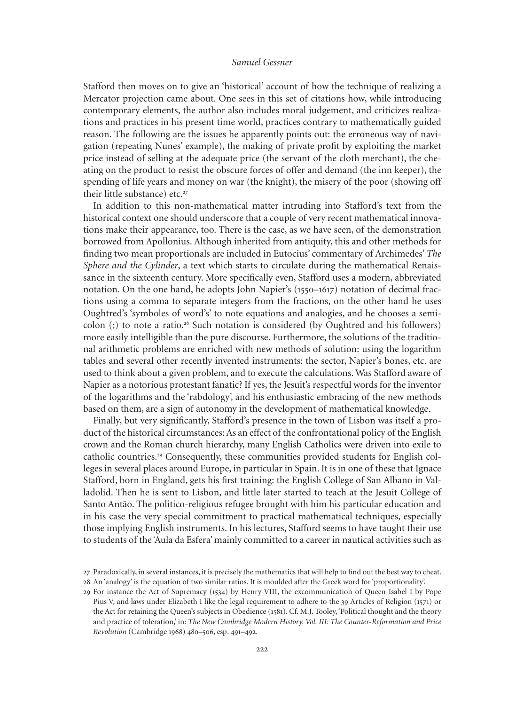Stafford then moves on to give an 'historical' account of how the technique of realizing a mercator projection came about. One sees in this set of citations how, while introducing contemporary elements, the author also includes moral judgement, and criticizes realizations and practices in his present time world, practices contrary to mathematically guided reason. The following are the issues he apparently points out: the erroneous way of navigation (repeating Nunes' example), the making of private profit by exploiting the market price instead of selling at the adequate price (the servant of the cloth merchant), the cheating on the product to resist the obscure forces of offer and demand (the inn keeper), the spending of life years and money on war (the knight), the misery of the poor (showing off their little substance) etc.<sup>27</sup>

In addition to this non-mathematical matter intruding into Stafford's text from the historical context one should underscore that a couple of very recent mathematical innovations make their appearance, too. There is the case, as we have seen, of the demonstration borrowed from Apollonius. Although inherited from antiquity, this and other methods for finding two mean proportionals are included in eutocius' commentary of Archimedes' *The Sphere and the Cylinder*, a text which starts to circulate during the mathematical Renaissance in the sixteenth century. more specifically even, Stafford uses a modern, abbreviated notation. On the one hand, he adopts John Napier's (1550–1617) notation of decimal fractions using a comma to separate integers from the fractions, on the other hand he uses Oughtred's 'symboles of word's' to note equations and analogies, and he chooses a semicolon  $($ ;) to note a ratio.<sup>28</sup> Such notation is considered (by Oughtred and his followers) more easily intelligible than the pure discourse. Furthermore, the solutions of the traditional arithmetic problems are enriched with new methods of solution: using the logarithm tables and several other recently invented instruments: the sector, Napier's bones, etc. are used to think about a given problem, and to execute the calculations. Was Stafford aware of Napier as a notorious protestant fanatic? If yes, the Jesuit's respectful words for the inventor of the logarithms and the 'rabdology', and his enthusiastic embracing of the new methods based on them, are a sign of autonomy in the development of mathematical knowledge.

Finally, but very significantly, Stafford's presence in the town of Lisbon was itself a product of the historical circumstances: As an effect of the confrontational policy of the english crown and the Roman church hierarchy, many english Catholics were driven into exile to catholic countries.<sup>29</sup> Consequently, these communities provided students for English colleges in several places around Europe, in particular in Spain. It is in one of these that Ignace Stafford, born in England, gets his first training: the English College of San Albano in Valladolid. Then he is sent to Lisbon, and little later started to teach at the Jesuit College of Santo Antão. The politico-religious refugee brought with him his particular education and in his case the very special commitment to practical mathematical techniques, especially those implying english instruments. In his lectures, Stafford seems to have taught their use to students of the 'Aula da esfera' mainly committed to a career in nautical activities such as

<sup>27</sup> Paradoxically, in several instances, it is precisely the mathematics that will help to find out the best way to cheat. 28 An 'analogy' is the equation of two similar ratios. It is moulded after the Greek word for 'proportionality'.

<sup>29</sup> For instance the Act of Supremacy (1534) by Henry VIII, the excommunication of Queen Isabel I by Pope Pius V, and laws under Elizabeth I like the legal requirement to adhere to the 39 Articles of Religion (1571) or the Act for retaining the Queen's subjects in Obedience (1581). Cf. m.J. Tooley, 'Political thought and the theory and practice of toleration,' in: *The New Cambridge Modern History. Vol. III: The Counter-Reformation and Price Revolution* (Cambridge 1968) 480–506, esp. 491–492.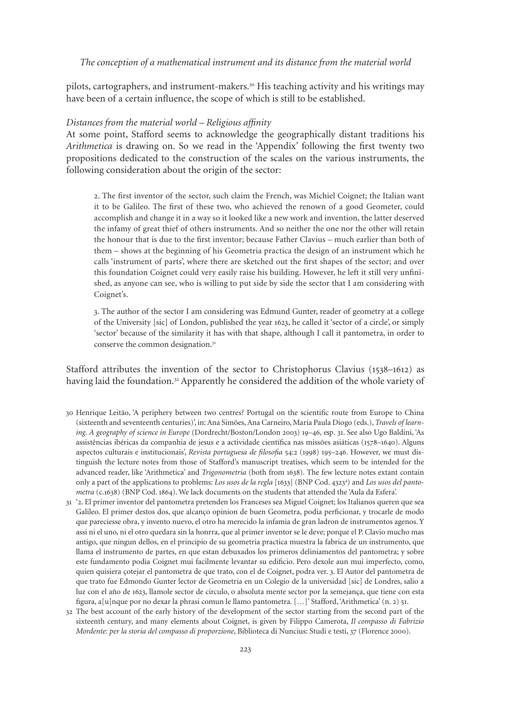pilots, cartographers, and instrument-makers.<sup>30</sup> His teaching activity and his writings may have been of a certain influence, the scope of which is still to be established.

### *Distances from the material world – Religious affinity*

At some point, Stafford seems to acknowledge the geographically distant traditions his *Arithmetica* is drawing on. So we read in the 'Appendix' following the first twenty two propositions dedicated to the construction of the scales on the various instruments, the following consideration about the origin of the sector:

2. The first inventor of the sector, such claim the French, was michiel Coignet; the Italian want it to be Galileo. The first of these two, who achieved the renown of a good Geometer, could accomplish and change it in a way so it looked like a new work and invention, the latter deserved the infamy of great thief of others instruments. And so neither the one nor the other will retain the honour that is due to the first inventor; because Father Clavius – much earlier than both of them – shows at the beginning of his Geometria practica the design of an instrument which he calls 'instrument of parts', where there are sketched out the first shapes of the sector; and over this foundation Coignet could very easily raise his building. However, he left it still very unfinished, as anyone can see, who is willing to put side by side the sector that I am considering with Coignet's.

3. The author of the sector I am considering was edmund Gunter, reader of geometry at a college of the University [sic] of London, published the year 1623, he called it 'sector of a circle', or simply 'sector' because of the similarity it has with that shape, although I call it pantometra, in order to conserve the common designation.<sup>31</sup>

Stafford attributes the invention of the sector to Christophorus Clavius (1538–1612) as having laid the foundation.<sup>32</sup> Apparently he considered the addition of the whole variety of

- 30 Henrique Leitão, 'A periphery between two centres? Portugal on the scientific route from europe to China (sixteenth and seventeenth centuries)', in: Ana Simões, Ana Carneiro, maria Paula Diogo (eds.), *Travels of learning. A geography of science in Europe* (Dordrecht/Boston/London 2003) 19–46, esp. 31. See also Ugo Baldini, 'As assistências ibéricas da companhia de jesus e a actividade científica nas missões asiáticas (1578–1640). Alguns aspectos culturais e institucionais', *Revista portuguesa de filosofia* 54:2 (1998) 195–246. However, we must distinguish the lecture notes from those of Stafford's manuscript treatises, which seem to be intended for the advanced reader, like 'Arithmetica' and *Trigonometria* (both from 1638). The few lecture notes extant contain only a part of the applications to problems: *Los usos de la regla* [1633] (BNP Cod. 43234 ) and *Los usos del pantometra* (c.1638) (BNP Cod. 1864). We lack documents on the students that attended the 'Aula da esfera'.
- 31 '2. el primer inventor del pantometra pretenden los Franceses sea miguel Coignet; los Italianos queren que sea Galileo. el primer destos dos, que alcanço opinion de buen Geometra, podia perficionar, y trocarle de modo que pareciesse obra, y invento nuevo, el otro ha merecido la infamia de gran ladron de instrumentos agenos. Y assi ni el uno, ni el otro quedara sin la honrra, que al primer inventor se le deve; porque el P. Clavio mucho mas antigo, que ningun dellos, en el principio de su geometria practica muestra la fabrica de un instrumento, que llama el instrumento de partes, en que estan debuxados los primeros deliniamentos del pantometra; y sobre este fundamento podia Coignet mui facilmente levantar su edificio. Pero dexole aun mui imperfecto, como, quien quisiera çotejar el pantometra de que trato, con el de Coignet, podra ver. 3. el Autor del pantometra de que trato fue edmondo Gunter lector de Geometria en un Colegio de la universidad [sic] de Londres, salio a luz con el año de 1623, llamole sector de circulo, o absoluta mente sector por la semejança, que tiene con esta figura, a[u]nque por no dexar la phrasi comun le llamo pantometra. […]' Stafford, 'Arithmetica' (n. 2) 51.
- 32 The best account of the early history of the development of the sector starting from the second part of the sixteenth century, and many elements about Coignet, is given by Filippo Camerota, *Il compasso di Fabrizio Mordente: per la storia del compasso di proporzione*, Biblioteca di Nuncius: Studi e testi, 37 (Florence 2000).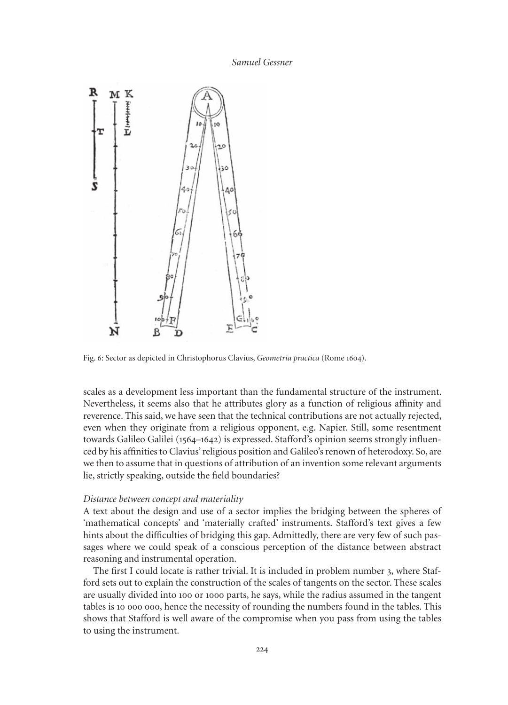

Fig. 6: Sector as depicted in Christophorus Clavius, *Geometria practica* (Rome 1604).

scales as a development less important than the fundamental structure of the instrument. Nevertheless, it seems also that he attributes glory as a function of religious affinity and reverence. This said, we have seen that the technical contributions are not actually rejected, even when they originate from a religious opponent, e.g. Napier. Still, some resentment towards Galileo Galilei (1564–1642) is expressed. Stafford's opinion seems strongly influenced by his affinities to Clavius' religious position and Galileo's renown of heterodoxy. So, are we then to assume that in questions of attribution of an invention some relevant arguments lie, strictly speaking, outside the field boundaries?

## *Distance between concept and materiality*

A text about the design and use of a sector implies the bridging between the spheres of 'mathematical concepts' and 'materially crafted' instruments. Stafford's text gives a few hints about the difficulties of bridging this gap. Admittedly, there are very few of such passages where we could speak of a conscious perception of the distance between abstract reasoning and instrumental operation.

The first I could locate is rather trivial. It is included in problem number 3, where Stafford sets out to explain the construction of the scales of tangents on the sector. These scales are usually divided into 100 or 1000 parts, he says, while the radius assumed in the tangent tables is 10 000 000, hence the necessity of rounding the numbers found in the tables. This shows that Stafford is well aware of the compromise when you pass from using the tables to using the instrument.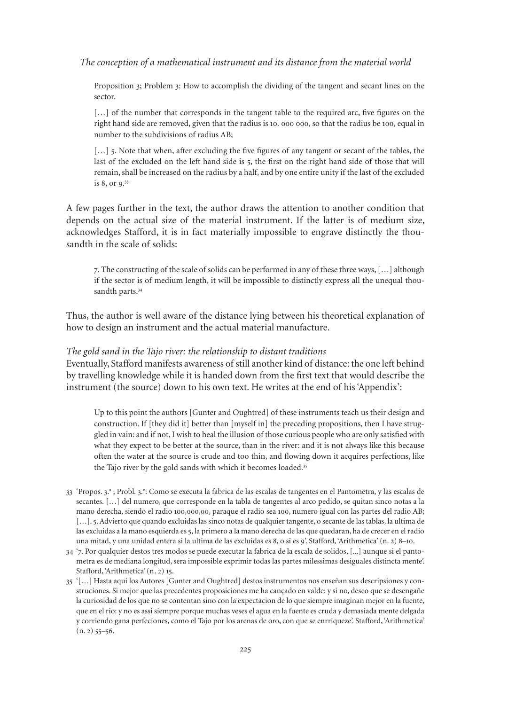Proposition 3; Problem 3: How to accomplish the dividing of the tangent and secant lines on the sector.

[...] of the number that corresponds in the tangent table to the required arc, five figures on the right hand side are removed, given that the radius is 10. 000 000, so that the radius be 100, equal in number to the subdivisions of radius AB;

[...] 5. Note that when, after excluding the five figures of any tangent or secant of the tables, the last of the excluded on the left hand side is 5, the first on the right hand side of those that will remain, shall be increased on the radius by a half, and by one entire unity if the last of the excluded is 8, or 9. 33

A few pages further in the text, the author draws the attention to another condition that depends on the actual size of the material instrument. If the latter is of medium size, acknowledges Stafford, it is in fact materially impossible to engrave distinctly the thousandth in the scale of solids:

7. The constructing of the scale of solids can be performed in any of these three ways, […] although if the sector is of medium length, it will be impossible to distinctly express all the unequal thousandth parts.<sup>34</sup>

Thus, the author is well aware of the distance lying between his theoretical explanation of how to design an instrument and the actual material manufacture.

#### *The gold sand in the Tajo river: the relationship to distant traditions*

eventually, Stafford manifests awareness of still another kind of distance: the one left behind by travelling knowledge while it is handed down from the first text that would describe the instrument (the source) down to his own text. He writes at the end of his 'Appendix':

Up to this point the authors [Gunter and Oughtred] of these instruments teach us their design and construction. If [they did it] better than [myself in] the preceding propositions, then I have struggled in vain: and if not, I wish to heal the illusion of those curious people who are only satisfied with what they expect to be better at the source, than in the river: and it is not always like this because often the water at the source is crude and too thin, and flowing down it acquires perfections, like the Tajo river by the gold sands with which it becomes loaded.<sup>35</sup>

- 33 'Propos. 3.ª ; Probl. 3.º: Como se executa la fabrica de las escalas de tangentes en el Pantometra, y las escalas de secantes. […] del numero, que corresponde en la tabla de tangentes al arco pedido, se quitan sinco notas a la mano derecha, siendo el radio 100,000,00, paraque el radio sea 100, numero igual con las partes del radio AB; [...]. 5. Advierto que quando excluidas las sinco notas de qualquier tangente, o secante de las tablas, la ultima de las excluidas a la mano esquierda es 5, la primero a la mano derecha de las que quedaran, ha de crecer en el radio una mitad, y una unidad entera si la ultima de las excluidas es 8, o si es 9'. Stafford, 'Arithmetica' (n. 2) 8–10.
- 34 '7. Por qualquier destos tres modos se puede executar la fabrica de la escala de solidos, [...] aunque si el pantometra es de mediana longitud, sera impossible exprimir todas las partes milessimas desiguales distincta mente'. Stafford, 'Arithmetica' (n. 2) 15.
- 35 '[…] Hasta aqui los Autores [Gunter and Oughtred] destos instrumentos nos enseñan sus descripsiones y construciones. Si mejor que las precedentes proposiciones me ha cançado en valde: y si no, deseo que se desengañe la curiosidad de los que no se contentan sino con la expectacion de lo que siempre imaginan mejor en la fuente, que en el rio: y no es assi siempre porque muchas veses el agua en la fuente es cruda y demasiada mente delgada y corriendo gana perfeciones, como el Tajo por los arenas de oro, con que se enrriqueze'. Stafford, 'Arithmetica'  $(n. 2)$  55–56.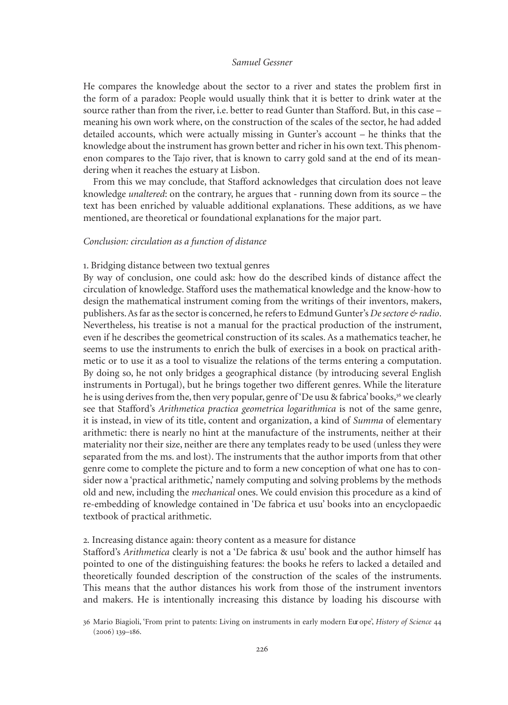He compares the knowledge about the sector to a river and states the problem first in the form of a paradox: People would usually think that it is better to drink water at the source rather than from the river, i.e. better to read Gunter than Stafford. But, in this case – meaning his own work where, on the construction of the scales of the sector, he had added detailed accounts, which were actually missing in Gunter's account – he thinks that the knowledge about the instrument has grown better and richer in his own text. This phenomenon compares to the Tajo river, that is known to carry gold sand at the end of its meandering when it reaches the estuary at Lisbon.

From this we may conclude, that Stafford acknowledges that circulation does not leave knowledge *unaltered*: on the contrary, he argues that - running down from its source – the text has been enriched by valuable additional explanations. These additions, as we have mentioned, are theoretical or foundational explanations for the major part.

## *Conclusion: circulation as a function of distance*

#### 1. Bridging distance between two textual genres

By way of conclusion, one could ask: how do the described kinds of distance affect the circulation of knowledge. Stafford uses the mathematical knowledge and the know-how to design the mathematical instrument coming from the writings of their inventors, makers, publishers. As far as the sector is concerned, he refers to Edmund Gunter's *De sectore & radio*. Nevertheless, his treatise is not a manual for the practical production of the instrument, even if he describes the geometrical construction of its scales. As a mathematics teacher, he seems to use the instruments to enrich the bulk of exercises in a book on practical arithmetic or to use it as a tool to visualize the relations of the terms entering a computation. By doing so, he not only bridges a geographical distance (by introducing several English instruments in Portugal), but he brings together two different genres. While the literature he is using derives from the, then very popular, genre of 'De usu & fabrica' books,<sup>36</sup> we clearly see that Stafford's *Arithmetica practica geometrica logarithmica* is not of the same genre, it is instead, in view of its title, content and organization, a kind of *Summa* of elementary arithmetic: there is nearly no hint at the manufacture of the instruments, neither at their materiality nor their size, neither are there any templates ready to be used (unless they were separated from the ms. and lost). The instruments that the author imports from that other genre come to complete the picture and to form a new conception of what one has to consider now a 'practical arithmetic,' namely computing and solving problems by the methods old and new, including the *mechanical* ones. We could envision this procedure as a kind of re-embedding of knowledge contained in 'De fabrica et usu' books into an encyclopaedic textbook of practical arithmetic.

## 2*.* Increasing distance again: theory content as a measure for distance

Stafford's *Arithmetica* clearly is not a 'De fabrica & usu' book and the author himself has pointed to one of the distinguishing features: the books he refers to lacked a detailed and theoretically founded description of the construction of the scales of the instruments. This means that the author distances his work from those of the instrument inventors and makers. He is intentionally increasing this distance by loading his discourse with

<sup>36</sup> mario Biagioli, 'From print to patents: Living on instruments in early modern eur ope', *History of Science* 44 (2006) 139–186.